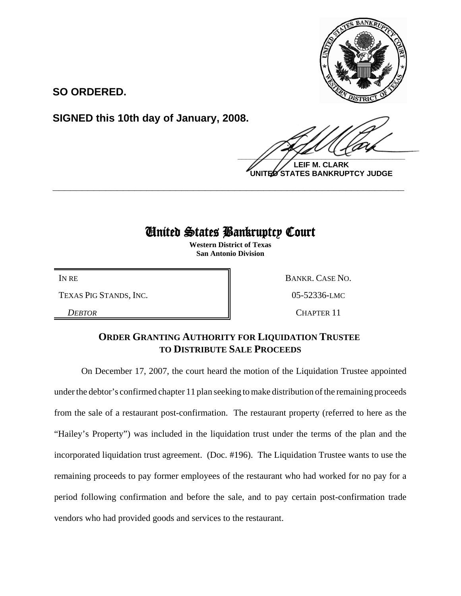

**SO ORDERED.**

**SIGNED this 10th day of January, 2008.**

 $\frac{1}{2}$ 

**LEIF M. CLARK UNITED STATES BANKRUPTCY JUDGE**

# United States Bankruptcy Court

**\_\_\_\_\_\_\_\_\_\_\_\_\_\_\_\_\_\_\_\_\_\_\_\_\_\_\_\_\_\_\_\_\_\_\_\_\_\_\_\_\_\_\_\_\_\_\_\_\_\_\_\_\_\_\_\_\_\_\_\_**

**Western District of Texas San Antonio Division**

TEXAS PIG STANDS, INC.  $05-52336$ -LMC

IN RE BANKR. CASE NO.

*DEBTOR* CHAPTER 11

## **ORDER GRANTING AUTHORITY FOR LIQUIDATION TRUSTEE TO DISTRIBUTE SALE PROCEEDS**

On December 17, 2007, the court heard the motion of the Liquidation Trustee appointed under the debtor's confirmed chapter 11 plan seeking to make distribution of the remaining proceeds from the sale of a restaurant post-confirmation. The restaurant property (referred to here as the "Hailey's Property") was included in the liquidation trust under the terms of the plan and the incorporated liquidation trust agreement. (Doc. #196). The Liquidation Trustee wants to use the remaining proceeds to pay former employees of the restaurant who had worked for no pay for a period following confirmation and before the sale, and to pay certain post-confirmation trade vendors who had provided goods and services to the restaurant.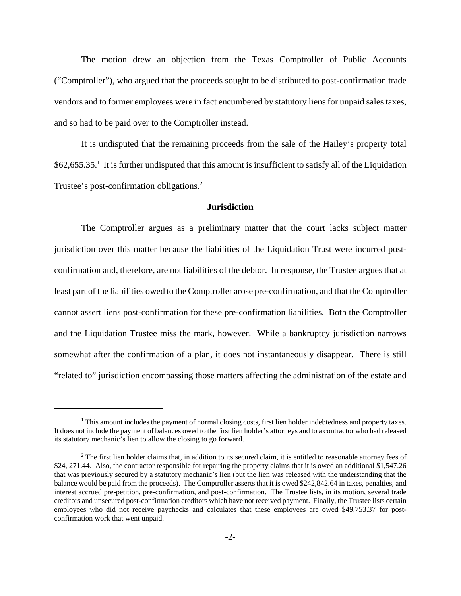The motion drew an objection from the Texas Comptroller of Public Accounts ("Comptroller"), who argued that the proceeds sought to be distributed to post-confirmation trade vendors and to former employees were in fact encumbered by statutory liens for unpaid sales taxes, and so had to be paid over to the Comptroller instead.

It is undisputed that the remaining proceeds from the sale of the Hailey's property total \$62,655.35.<sup>1</sup> It is further undisputed that this amount is insufficient to satisfy all of the Liquidation Trustee's post-confirmation obligations.<sup>2</sup>

### **Jurisdiction**

The Comptroller argues as a preliminary matter that the court lacks subject matter jurisdiction over this matter because the liabilities of the Liquidation Trust were incurred postconfirmation and, therefore, are not liabilities of the debtor. In response, the Trustee argues that at least part of the liabilities owed to the Comptroller arose pre-confirmation, and that the Comptroller cannot assert liens post-confirmation for these pre-confirmation liabilities. Both the Comptroller and the Liquidation Trustee miss the mark, however. While a bankruptcy jurisdiction narrows somewhat after the confirmation of a plan, it does not instantaneously disappear. There is still "related to" jurisdiction encompassing those matters affecting the administration of the estate and

<sup>&</sup>lt;sup>1</sup> This amount includes the payment of normal closing costs, first lien holder indebtedness and property taxes. It does not include the payment of balances owed to the first lien holder's attorneys and to a contractor who had released its statutory mechanic's lien to allow the closing to go forward.

<sup>&</sup>lt;sup>2</sup> The first lien holder claims that, in addition to its secured claim, it is entitled to reasonable attorney fees of \$24, 271.44. Also, the contractor responsible for repairing the property claims that it is owed an additional \$1,547.26 that was previously secured by a statutory mechanic's lien (but the lien was released with the understanding that the balance would be paid from the proceeds). The Comptroller asserts that it is owed \$242,842.64 in taxes, penalties, and interest accrued pre-petition, pre-confirmation, and post-confirmation. The Trustee lists, in its motion, several trade creditors and unsecured post-confirmation creditors which have not received payment. Finally, the Trustee lists certain employees who did not receive paychecks and calculates that these employees are owed \$49,753.37 for postconfirmation work that went unpaid.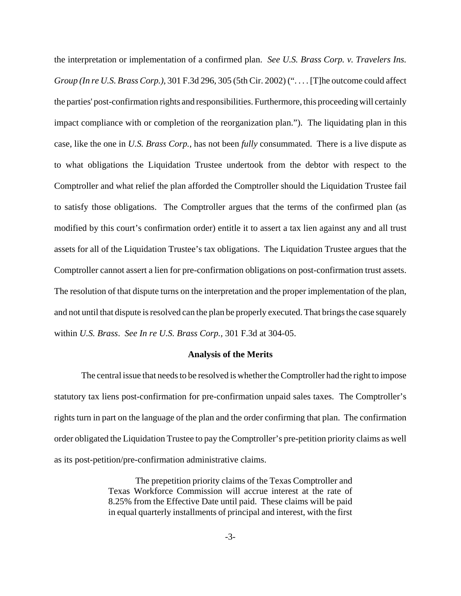the interpretation or implementation of a confirmed plan. *See U.S. Brass Corp. v. Travelers Ins. Group (In re U.S. Brass Corp.),* 301 F.3d 296, 305 (5th Cir. 2002) (". . . . [T]he outcome could affect the parties' post-confirmation rights and responsibilities. Furthermore, this proceeding will certainly impact compliance with or completion of the reorganization plan."). The liquidating plan in this case, like the one in *U.S. Brass Corp.*, has not been *fully* consummated. There is a live dispute as to what obligations the Liquidation Trustee undertook from the debtor with respect to the Comptroller and what relief the plan afforded the Comptroller should the Liquidation Trustee fail to satisfy those obligations. The Comptroller argues that the terms of the confirmed plan (as modified by this court's confirmation order) entitle it to assert a tax lien against any and all trust assets for all of the Liquidation Trustee's tax obligations. The Liquidation Trustee argues that the Comptroller cannot assert a lien for pre-confirmation obligations on post-confirmation trust assets. The resolution of that dispute turns on the interpretation and the proper implementation of the plan, and not until that dispute is resolved can the plan be properly executed. That brings the case squarely within *U.S. Brass*. *See In re U.S. Brass Corp.,* 301 F.3d at 304-05.

#### **Analysis of the Merits**

The central issue that needs to be resolved is whether the Comptroller had the right to impose statutory tax liens post-confirmation for pre-confirmation unpaid sales taxes. The Comptroller's rights turn in part on the language of the plan and the order confirming that plan. The confirmation order obligated the Liquidation Trustee to pay the Comptroller's pre-petition priority claims as well as its post-petition/pre-confirmation administrative claims.

> The prepetition priority claims of the Texas Comptroller and Texas Workforce Commission will accrue interest at the rate of 8.25% from the Effective Date until paid. These claims will be paid in equal quarterly installments of principal and interest, with the first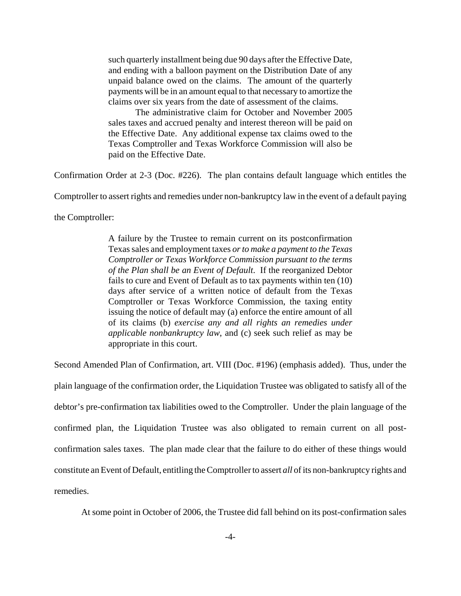such quarterly installment being due 90 days after the Effective Date, and ending with a balloon payment on the Distribution Date of any unpaid balance owed on the claims. The amount of the quarterly payments will be in an amount equal to that necessary to amortize the claims over six years from the date of assessment of the claims.

The administrative claim for October and November 2005 sales taxes and accrued penalty and interest thereon will be paid on the Effective Date. Any additional expense tax claims owed to the Texas Comptroller and Texas Workforce Commission will also be paid on the Effective Date.

Confirmation Order at 2-3 (Doc. #226). The plan contains default language which entitles the

Comptroller to assert rights and remedies under non-bankruptcy law in the event of a default paying

the Comptroller:

A failure by the Trustee to remain current on its postconfirmation Texas sales and employment taxes *or to make a payment to the Texas Comptroller or Texas Workforce Commission pursuant to the terms of the Plan shall be an Event of Default*. If the reorganized Debtor fails to cure and Event of Default as to tax payments within ten (10) days after service of a written notice of default from the Texas Comptroller or Texas Workforce Commission, the taxing entity issuing the notice of default may (a) enforce the entire amount of all of its claims (b) *exercise any and all rights an remedies under applicable nonbankruptcy law*, and (c) seek such relief as may be appropriate in this court.

Second Amended Plan of Confirmation, art. VIII (Doc. #196) (emphasis added). Thus, under the

plain language of the confirmation order, the Liquidation Trustee was obligated to satisfy all of the debtor's pre-confirmation tax liabilities owed to the Comptroller. Under the plain language of the confirmed plan, the Liquidation Trustee was also obligated to remain current on all postconfirmation sales taxes. The plan made clear that the failure to do either of these things would constitute an Event of Default, entitling the Comptroller to assert *all* of its non-bankruptcy rights and remedies.

At some point in October of 2006, the Trustee did fall behind on its post-confirmation sales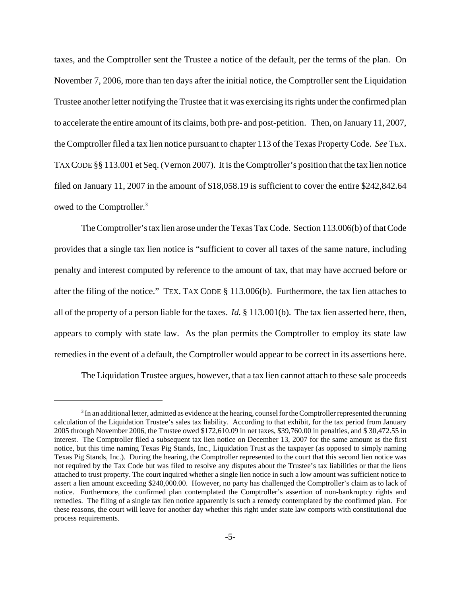taxes, and the Comptroller sent the Trustee a notice of the default, per the terms of the plan. On November 7, 2006, more than ten days after the initial notice, the Comptroller sent the Liquidation Trustee another letter notifying the Trustee that it was exercising its rights under the confirmed plan to accelerate the entire amount of its claims, both pre- and post-petition. Then, on January 11, 2007, the Comptroller filed a tax lien notice pursuant to chapter 113 of the Texas Property Code. *See* TEX. TAX CODE §§ 113.001 et Seq. (Vernon 2007). It is the Comptroller's position that the tax lien notice filed on January 11, 2007 in the amount of \$18,058.19 is sufficient to cover the entire \$242,842.64 owed to the Comptroller.<sup>3</sup>

The Comptroller's tax lien arose under the Texas Tax Code. Section 113.006(b) of that Code provides that a single tax lien notice is "sufficient to cover all taxes of the same nature, including penalty and interest computed by reference to the amount of tax, that may have accrued before or after the filing of the notice." TEX. TAX CODE § 113.006(b). Furthermore, the tax lien attaches to all of the property of a person liable for the taxes. *Id.* § 113.001(b). The tax lien asserted here, then, appears to comply with state law. As the plan permits the Comptroller to employ its state law remedies in the event of a default, the Comptroller would appear to be correct in its assertions here.

The Liquidation Trustee argues, however, that a tax lien cannot attach to these sale proceeds

 $3$  In an additional letter, admitted as evidence at the hearing, counsel for the Comptroller represented the running calculation of the Liquidation Trustee's sales tax liability. According to that exhibit, for the tax period from January 2005 through November 2006, the Trustee owed \$172,610.09 in net taxes, \$39,760.00 in penalties, and \$ 30,472.55 in interest. The Comptroller filed a subsequent tax lien notice on December 13, 2007 for the same amount as the first notice, but this time naming Texas Pig Stands, Inc., Liquidation Trust as the taxpayer (as opposed to simply naming Texas Pig Stands, Inc.). During the hearing, the Comptroller represented to the court that this second lien notice was not required by the Tax Code but was filed to resolve any disputes about the Trustee's tax liabilities or that the liens attached to trust property. The court inquired whether a single lien notice in such a low amount was sufficient notice to assert a lien amount exceeding \$240,000.00. However, no party has challenged the Comptroller's claim as to lack of notice. Furthermore, the confirmed plan contemplated the Comptroller's assertion of non-bankruptcy rights and remedies. The filing of a single tax lien notice apparently is such a remedy contemplated by the confirmed plan. For these reasons, the court will leave for another day whether this right under state law comports with constitutional due process requirements.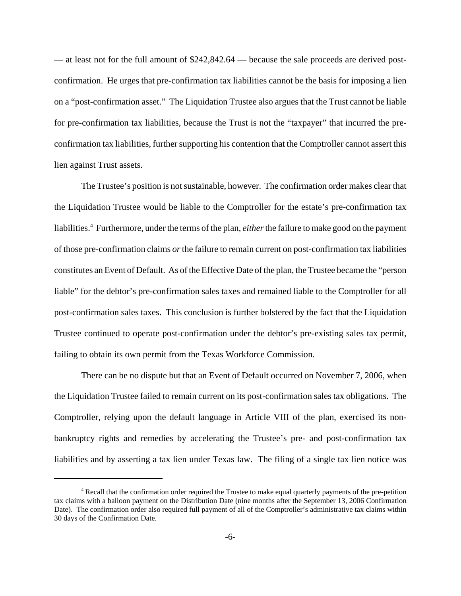— at least not for the full amount of \$242,842.64 — because the sale proceeds are derived postconfirmation. He urges that pre-confirmation tax liabilities cannot be the basis for imposing a lien on a "post-confirmation asset." The Liquidation Trustee also argues that the Trust cannot be liable for pre-confirmation tax liabilities, because the Trust is not the "taxpayer" that incurred the preconfirmation tax liabilities, further supporting his contention that the Comptroller cannot assert this lien against Trust assets.

The Trustee's position is not sustainable, however. The confirmation order makes clear that the Liquidation Trustee would be liable to the Comptroller for the estate's pre-confirmation tax liabilities.4 Furthermore, under the terms of the plan, *either* the failure to make good on the payment of those pre-confirmation claims *or* the failure to remain current on post-confirmation tax liabilities constitutes an Event of Default. As of the Effective Date of the plan, the Trustee became the "person liable" for the debtor's pre-confirmation sales taxes and remained liable to the Comptroller for all post-confirmation sales taxes. This conclusion is further bolstered by the fact that the Liquidation Trustee continued to operate post-confirmation under the debtor's pre-existing sales tax permit, failing to obtain its own permit from the Texas Workforce Commission.

There can be no dispute but that an Event of Default occurred on November 7, 2006, when the Liquidation Trustee failed to remain current on its post-confirmation sales tax obligations. The Comptroller, relying upon the default language in Article VIII of the plan, exercised its nonbankruptcy rights and remedies by accelerating the Trustee's pre- and post-confirmation tax liabilities and by asserting a tax lien under Texas law. The filing of a single tax lien notice was

<sup>&</sup>lt;sup>4</sup> Recall that the confirmation order required the Trustee to make equal quarterly payments of the pre-petition tax claims with a balloon payment on the Distribution Date (nine months after the September 13, 2006 Confirmation Date). The confirmation order also required full payment of all of the Comptroller's administrative tax claims within 30 days of the Confirmation Date.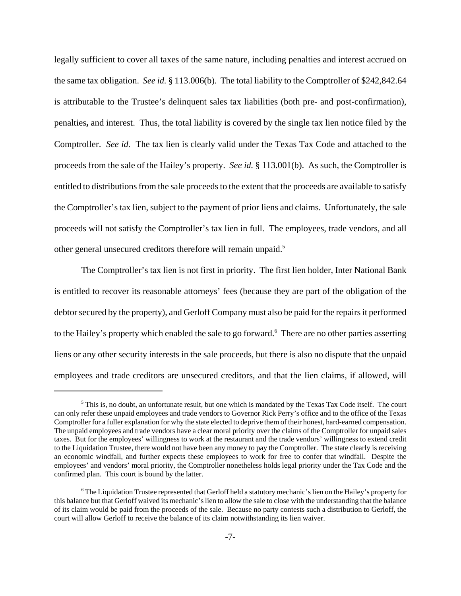legally sufficient to cover all taxes of the same nature, including penalties and interest accrued on the same tax obligation. *See id.* § 113.006(b). The total liability to the Comptroller of \$242,842.64 is attributable to the Trustee's delinquent sales tax liabilities (both pre- and post-confirmation), penalties**,** and interest. Thus, the total liability is covered by the single tax lien notice filed by the Comptroller. *See id.* The tax lien is clearly valid under the Texas Tax Code and attached to the proceeds from the sale of the Hailey's property. *See id.* § 113.001(b). As such, the Comptroller is entitled to distributions from the sale proceeds to the extent that the proceeds are available to satisfy the Comptroller's tax lien, subject to the payment of prior liens and claims. Unfortunately, the sale proceeds will not satisfy the Comptroller's tax lien in full. The employees, trade vendors, and all other general unsecured creditors therefore will remain unpaid.<sup>5</sup>

The Comptroller's tax lien is not first in priority. The first lien holder, Inter National Bank is entitled to recover its reasonable attorneys' fees (because they are part of the obligation of the debtor secured by the property), and Gerloff Company must also be paid for the repairs it performed to the Hailey's property which enabled the sale to go forward.<sup>6</sup> There are no other parties asserting liens or any other security interests in the sale proceeds, but there is also no dispute that the unpaid employees and trade creditors are unsecured creditors, and that the lien claims, if allowed, will

<sup>&</sup>lt;sup>5</sup> This is, no doubt, an unfortunate result, but one which is mandated by the Texas Tax Code itself. The court can only refer these unpaid employees and trade vendors to Governor Rick Perry's office and to the office of the Texas Comptroller for a fuller explanation for why the state elected to deprive them of their honest, hard-earned compensation. The unpaid employees and trade vendors have a clear moral priority over the claims of the Comptroller for unpaid sales taxes. But for the employees' willingness to work at the restaurant and the trade vendors' willingness to extend credit to the Liquidation Trustee, there would not have been any money to pay the Comptroller. The state clearly is receiving an economic windfall, and further expects these employees to work for free to confer that windfall. Despite the employees' and vendors' moral priority, the Comptroller nonetheless holds legal priority under the Tax Code and the confirmed plan. This court is bound by the latter.

<sup>&</sup>lt;sup>6</sup> The Liquidation Trustee represented that Gerloff held a statutory mechanic's lien on the Hailey's property for this balance but that Gerloff waived its mechanic's lien to allow the sale to close with the understanding that the balance of its claim would be paid from the proceeds of the sale. Because no party contests such a distribution to Gerloff, the court will allow Gerloff to receive the balance of its claim notwithstanding its lien waiver.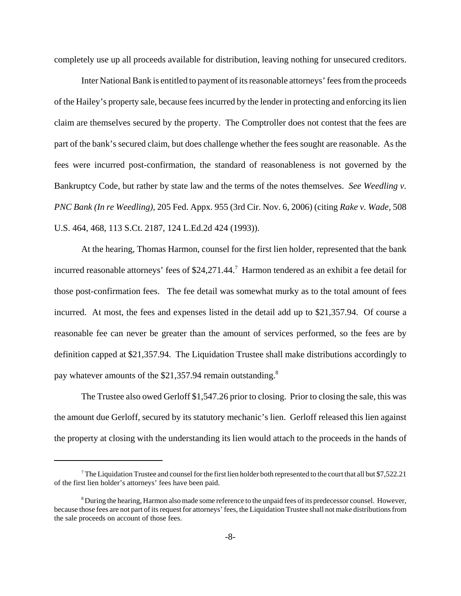completely use up all proceeds available for distribution, leaving nothing for unsecured creditors.

Inter National Bank is entitled to payment of its reasonable attorneys' fees from the proceeds of the Hailey's property sale, because fees incurred by the lender in protecting and enforcing its lien claim are themselves secured by the property. The Comptroller does not contest that the fees are part of the bank's secured claim, but does challenge whether the fees sought are reasonable. As the fees were incurred post-confirmation, the standard of reasonableness is not governed by the Bankruptcy Code, but rather by state law and the terms of the notes themselves. *See Weedling v. PNC Bank (In re Weedling),* 205 Fed. Appx. 955 (3rd Cir. Nov. 6, 2006) (citing *Rake v. Wade,* 508 U.S. 464, 468, 113 S.Ct. 2187, 124 L.Ed.2d 424 (1993)).

At the hearing, Thomas Harmon, counsel for the first lien holder, represented that the bank incurred reasonable attorneys' fees of \$24,271.44.<sup>7</sup> Harmon tendered as an exhibit a fee detail for those post-confirmation fees. The fee detail was somewhat murky as to the total amount of fees incurred. At most, the fees and expenses listed in the detail add up to \$21,357.94. Of course a reasonable fee can never be greater than the amount of services performed, so the fees are by definition capped at \$21,357.94. The Liquidation Trustee shall make distributions accordingly to pay whatever amounts of the \$21,357.94 remain outstanding.<sup>8</sup>

The Trustee also owed Gerloff \$1,547.26 prior to closing. Prior to closing the sale, this was the amount due Gerloff, secured by its statutory mechanic's lien. Gerloff released this lien against the property at closing with the understanding its lien would attach to the proceeds in the hands of

<sup>&</sup>lt;sup>7</sup> The Liquidation Trustee and counsel for the first lien holder both represented to the court that all but \$7,522.21 of the first lien holder's attorneys' fees have been paid.

 $8$  During the hearing, Harmon also made some reference to the unpaid fees of its predecessor counsel. However, because those fees are not part of its request for attorneys' fees, the Liquidation Trustee shall not make distributions from the sale proceeds on account of those fees.